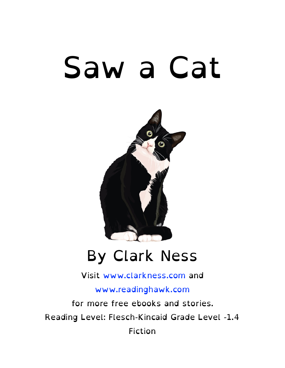# Saw a Cat



#### By Clark Ness

Visit [www.clarkness.com](http://www.clarkness.com) and

[www.readinghawk.com](http://www.readinghawk.com)

for more free ebooks and stories. Reading Level: Flesch-Kincaid Grade Level -1.4 Fiction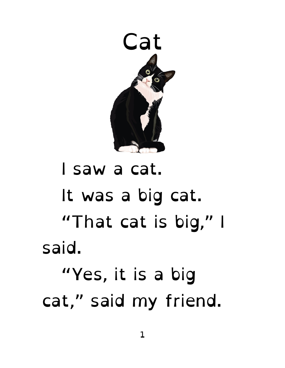

### I saw a cat. It was a big cat. "That cat is big," I said. "Yes, it is a big cat," said my friend.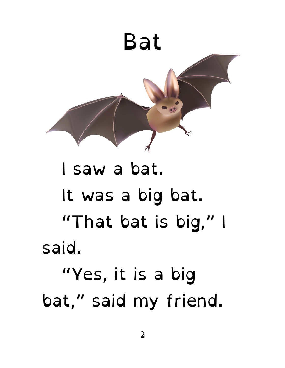

### I saw a bat. It was a big bat. "That bat is big," I said. "Yes, it is a big bat," said my friend.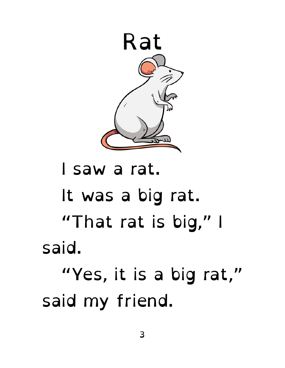

#### I saw a rat. It was a big rat. "That rat is big," I said. "Yes, it is a big rat," said my friend.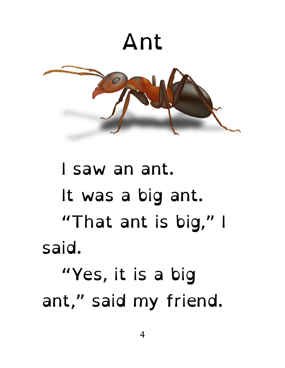

#### I saw an ant. It was a big ant. "That ant is big," I said. "Yes, it is a big ant," said my friend.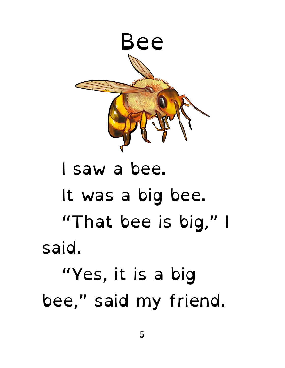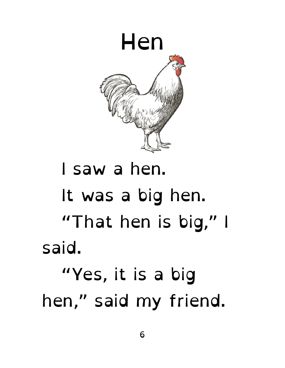

## It was a big hen. "That hen is big," I said. "Yes, it is a big hen," said my friend.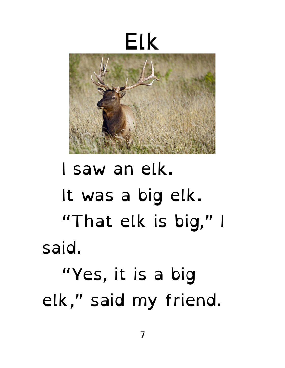

### I saw an elk. It was a big elk. "That elk is big," I said. "Yes, it is a big elk," said my friend.